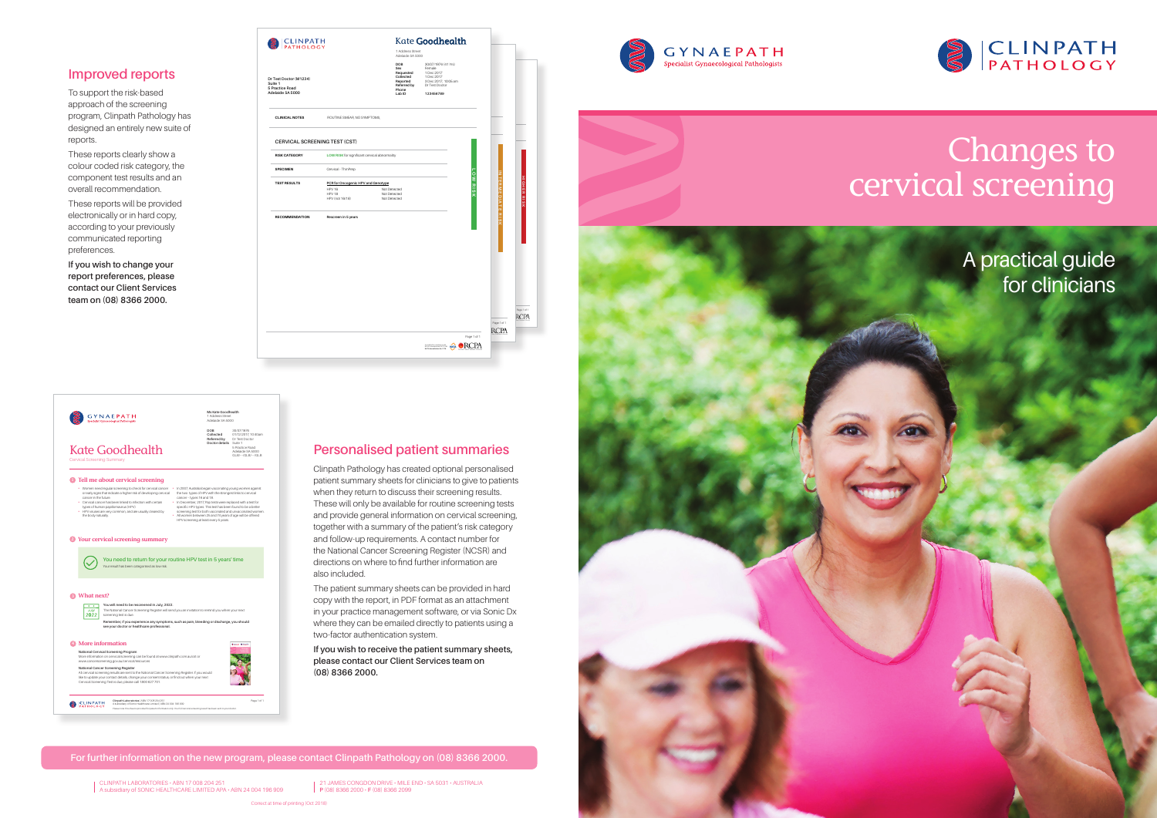# Changes to cervical screening





 $\begin{array}{c} \textbf{G} \textbf{Y} \textbf{N} \textbf{A} \textbf{E} \textbf{P} \textbf{A} \textbf{T} \textbf{H} \\ \textbf{Specialist Gynaecological Pathologists} \end{array}$ 





**For further information on the new program, please contact Clinpath Pathology on (08) 8366 2000.**

| <b>CLINPATH</b><br>PATHOLOGY                                             |                                                     | 1 Address Street<br>Adelaide SA 5000                                               |                                                                                                                  |                 |                            |
|--------------------------------------------------------------------------|-----------------------------------------------------|------------------------------------------------------------------------------------|------------------------------------------------------------------------------------------------------------------|-----------------|----------------------------|
| Dr Test Doctor (M1234)<br>Suite 1<br>5 Practice Road<br>Adelaide SA 5000 |                                                     | DOB<br>Sex<br>Requested<br>Collected<br>Reported<br>Referred by<br>Phone<br>Lab ID | 30/07/1976 (41 Yrs)<br>Female<br>1 Dec 2017<br>1 Dec 2017<br>3 Dec 2017, 10:05 am<br>Dr Test Doctor<br>123456789 |                 |                            |
| <b>CLINICAL NOTES</b>                                                    | ROUTINE SMEAR, NO SYMPTOMS,                         |                                                                                    |                                                                                                                  |                 |                            |
| <b>CERVICAL SCREENING TEST (CST)</b>                                     |                                                     |                                                                                    |                                                                                                                  |                 |                            |
| <b>RISK CATEGORY</b>                                                     |                                                     | LOW RISK for significant cervical abnormality                                      |                                                                                                                  |                 |                            |
| <b>SPECIMEN</b>                                                          | Cervical - ThinPrep                                 |                                                                                    |                                                                                                                  |                 | z                          |
| <b>TEST RESULTS</b>                                                      | PCR for Oncogenic HPV and Genotype<br><b>HPV 16</b> | Not Detected                                                                       |                                                                                                                  | <b>LOW RISK</b> |                            |
|                                                                          | <b>HPV 18</b><br>HPV (not 16/18)                    | Not Detected<br>Not Detected                                                       |                                                                                                                  |                 | <b>TERMEDIATE</b>          |
| <b>RECOMMENDATION</b>                                                    | Rescreen in 5 years                                 |                                                                                    |                                                                                                                  |                 | œ<br>ū                     |
|                                                                          |                                                     |                                                                                    |                                                                                                                  |                 |                            |
|                                                                          |                                                     |                                                                                    |                                                                                                                  |                 |                            |
|                                                                          |                                                     |                                                                                    |                                                                                                                  |                 | Page 1 of 1<br><b>RCPA</b> |
|                                                                          |                                                     |                                                                                    | SCREEN ORCPA                                                                                                     | Page 1 of 1     |                            |



21 JAMES CONGDON DRIVE • MILE END • SA 5031 • AUSTRALIA **P** (08) 8366 2000 • **F** (08) 8366 2099

CLINPATH LABORATORIES • ABN 17 008 204 251 A subsidiary of SONIC HEALTHCARE LIMITED APA • ABN 24 004 196 909

### **Improved reports**

To support the risk-based approach of the screening program, Clinpath Pathology has designed an entirely new suite of reports.

These reports clearly show a colour coded risk category, the component test results and an overall recommendation.

These reports will be provided electronically or in hard copy, according to your previously communicated reporting preferences.

**If you wish to change your report preferences, please contact our Client Services team on (08) 8366 2000.**

### **Personalised patient summaries**

Clinpath Pathology has created optional personalised patient summary sheets for clinicians to give to patients when they return to discuss their screening results. These will only be available for routine screening tests and provide general information on cervical screening, together with a summary of the patient's risk category and follow-up requirements. A contact number for the National Cancer Screening Register (NCSR) and directions on where to find further information are also included.

The patient summary sheets can be provided in hard copy with the report, in PDF format as an attachment in your practice management software, or via Sonic Dx where they can be emailed directly to patients using a two-factor authentication system.

#### **If you wish to receive the patient summary sheets, please contact our Client Services team on (08) 8366 2000.**